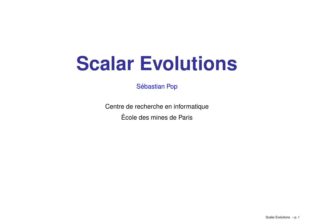# **Scalar Evolutions**

Sébastian Pop

Centre de recherche en informatique Ecole´Ecole des mines de Paris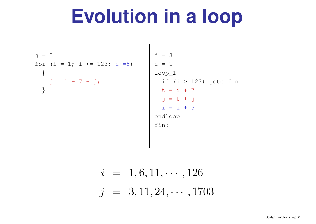# **Evolution in <sup>a</sup> loop**

j = 3  
for (i = 1; i 
$$
\Leftarrow
$$
 123; i+=5)  
{  
j = i + 7 + j;  
}}

 $j = 3$  $i = 1$ loop\_1 if (i <sup>&</sup>gt; 123) goto fin t <sup>=</sup> i + 7 j <sup>=</sup> t <sup>+</sup> j  $i = i + 5$ endloop fin:

$$
i = 1, 6, 11, \cdots, 126
$$
  

$$
j = 3, 11, 24, \cdots, 1703
$$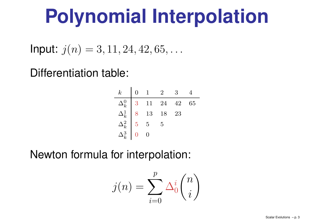# **Polynomial Interpolation**

**Input:**  $j(n) = 3, 11, 24, 42, 65, \ldots$ 

### Differentiation table:

| $\,k$                                                                            | $\overline{0}$  | $\overline{1}$ | $\overline{2}$                 | 3  |    |
|----------------------------------------------------------------------------------|-----------------|----------------|--------------------------------|----|----|
|                                                                                  |                 |                | $3 \quad 11 \quad 24 \quad 42$ |    | 65 |
|                                                                                  |                 | 8 13 18        |                                | 23 |    |
|                                                                                  | $5\overline{)}$ | $\overline{5}$ | $\overline{5}$                 |    |    |
| $\begin{array}{c} \Delta_k^0 \ \Delta_k^1 \ \Delta_k^2 \ \Delta_k^3 \end{array}$ |                 |                |                                |    |    |

Newton formula for interpolation:

$$
j(n) = \sum_{i=0}^{p} \Delta_0^i \binom{n}{i}
$$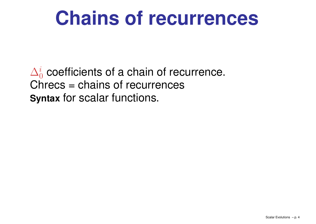# **Chains of recurrences**

 $\Delta_0^i$  coefficients of a chain of recurrence. Chrecs <sup>=</sup> chains of recurrences **Syntax** for scalar functions.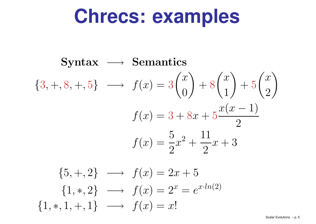### **Chrecs: examples**

$$
\text{Syntax} \longrightarrow \text{Semantics} \\
\{3,+,8,+,5\} \longrightarrow f(x) = 3 \binom{x}{0} + 8 \binom{x}{1} + 5 \binom{x}{2} \\
 f(x) = 3 + 8x + 5 \frac{x(x-1)}{2} \\
 f(x) = \frac{5}{2}x^2 + \frac{11}{2}x + 3
$$

$$
\{5, +, 2\} \longrightarrow f(x) = 2x + 5
$$
  

$$
\{1, *, 2\} \longrightarrow f(x) = 2^x = e^{x \cdot ln(2)}
$$
  

$$
\{1, *, 1, +, 1\} \longrightarrow f(x) = x!
$$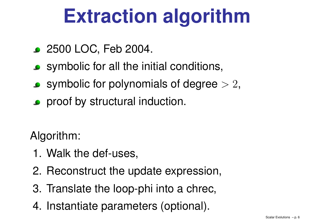# **Extraction algorithm**

- 2500 LOC, Feb 2004.
- symbolic for all the initial conditions,
- **Symbolic for polynomials of degree**  $> 2$ ,
- **•** proof by structural induction.

Algorithm:

- 1. Walk the def-uses,
- 2. Reconstruct the update expression,
- 3. Translate the loop-phi into <sup>a</sup> chrec,
- 4. Instantiate parameters (optional).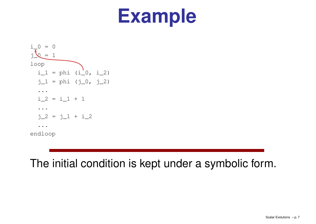

### The initial condition is kept under <sup>a</sup> symbolic form.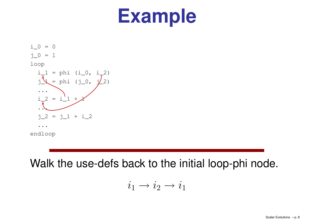$i = 0$  $\dot{1}$  0 = 1 loop  $i\_1$  = phi (i\_0, i\_2)  $j = p$ hi (j\_0, j $/2$ ) ... $i$  2 = i<sup>'</sup>1 + ... $j_2 = j_1 + i_2$ ... endloop

Walk the use-defs back to the initial loop-phi node.

$$
i_1 \to i_2 \to i_1
$$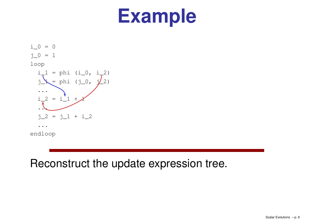$i_0 = 0$  $j_0 = 1$ loop  $i\_1$  = phi (i\_0, i\_2)  $j_{\perp} = \phi$ hi (j\_0, j $/_{2}$ 2) ... $i_{2} = i_{1} + j$ ... $j_{2} = j_{1} + i_{2}$ ... endloop

### Reconstruct the update expression tree.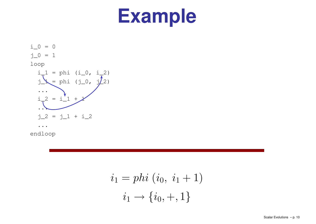$i_0 = 0$  $j_0 = 1$ loop  $i_{-1}$  = phi (i\_0, i\_2)  $y = \[\text{phi } (j_0, j_2)\]$ ...i\_2 = i\_1 +  $\lambda$ ... $j_2 = j_1 + i_2$ ... endloop

$$
i_1 = phi (i_0, i_1 + 1)
$$

$$
i_1 \to \{i_0, +, 1\}
$$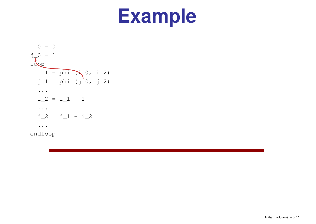$$
i_0 = 0
$$
\n
$$
j_0 = 1
$$
\n
$$
i_1 = \text{phi} \quad (j_0, i_2)
$$
\n
$$
j_1 = \text{phi} \quad (j_0, j_2)
$$
\n...\n
$$
i_2 = i_1 + 1
$$
\n...\n
$$
j_2 = j_1 + i_2
$$
\n...\nendloop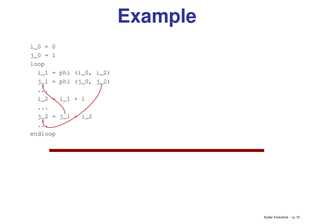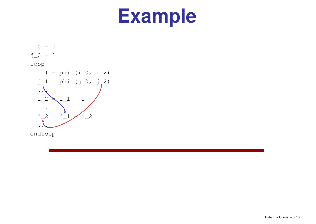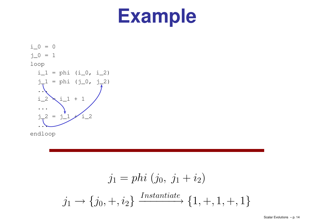

$$
j_1 = phi (j_0, j_1 + i_2)
$$
  

$$
j_1 \rightarrow \{j_0, +, i_2\} \xrightarrow{Instantiate} \{1, +, 1, +, 1\}
$$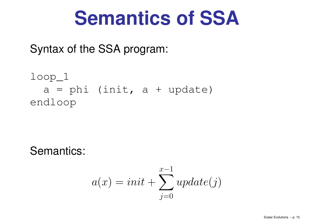### **Semantics of SSA**

Syntax of the SSA program:

loop\_1 a= phi (init, a+ update) endloop

Semantics:

$$
a(x) = init + \sum_{j=0}^{x-1} update(j)
$$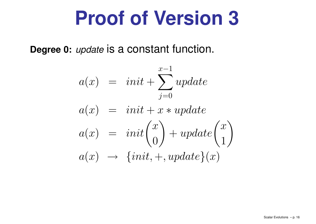# **Proof of Version 3**

**Degree 0:** update is <sup>a</sup> constant function.

$$
a(x) = init + \sum_{j=0}^{x-1} update
$$
  
\n
$$
a(x) = init + x * update
$$
  
\n
$$
a(x) = init {x \choose 0} + update {x \choose 1}
$$
  
\n
$$
a(x) \rightarrow \{init, +, update\}(x)
$$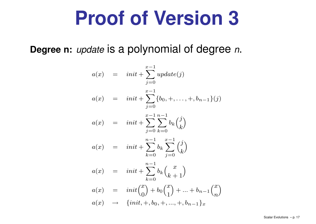# **Proof of Version 3**

**Degree n:** update is <sup>a</sup> polynomial of degree <sup>n</sup>.

$$
a(x) = init + \sum_{j=0}^{x-1} update(j)
$$
  
\n
$$
a(x) = init + \sum_{j=0}^{x-1} {b_0, +, ..., +, b_{n-1}}(j)
$$
  
\n
$$
a(x) = init + \sum_{j=0}^{x-1} \sum_{k=0}^{n-1} b_k {j \choose k}
$$
  
\n
$$
a(x) = init + \sum_{k=0}^{n-1} b_k \sum_{j=0}^{x-1} {j \choose k}
$$
  
\n
$$
a(x) = init + \sum_{k=0}^{n-1} b_k {x \choose k+1}
$$
  
\n
$$
a(x) = init {x \choose 0} + b_0 {x \choose 1} + ... + b_{n-1} {x \choose n}
$$
  
\n
$$
a(x) \rightarrow \{init, +, b_0, +, ..., +, b_{n-1}\}_x
$$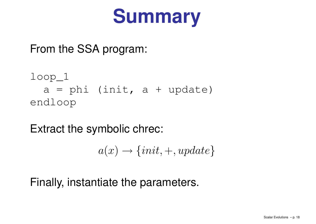

From the SSA program:

```
loop_1
  a = phi (init, a + update)endloop
```
Extract the symbolic chrec:

$$
a(x) \rightarrow \{init, +, update\}
$$

Finally, instantiate the parameters.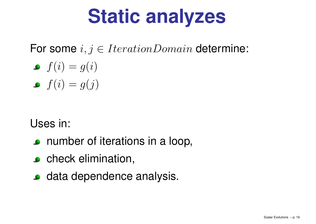# **Static analyzes**

For some  $i, j \in IterationDomain$  determine:

$$
\bullet \ \ f(i) = g(i)
$$

$$
\bullet \ \ f(i) = g(j)
$$

Uses in:

- **c** number of iterations in a loop,
- **c** check elimination,
- **o** data dependence analysis.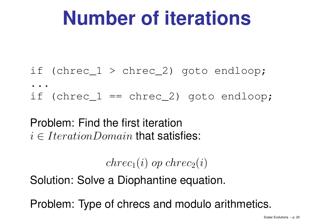# **Number of iterations**

- if (chrec\_1 <sup>&</sup>gt; chrec\_2) goto endloop;
- . .
- if (chrec\_1 == chrec\_2) goto endloop;
- Problem: Find the first iteration  $i \in IterationDomain$  that satisfies:

$$
chrec_1(i) op \,chrec_2(i)
$$

Solution: Solve <sup>a</sup> Diophantine equation.

Problem: Type of chrecs and modulo arithmetics.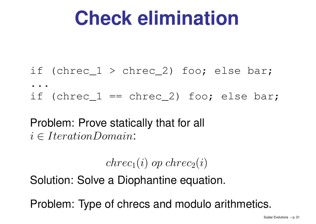# **Check elimination**

- if (chrec\_1 <sup>&</sup>gt; chrec\_2) foo; else bar;
- . .
- if (chrec\_1 == chrec\_2) foo; else bar;
- Problem: Prove statically that for all  $i \in IterationDomain$ :

$$
chrec_1(i) op \,chrec_2(i)
$$

Solution: Solve <sup>a</sup> Diophantine equation.

Problem: Type of chrecs and modulo arithmetics.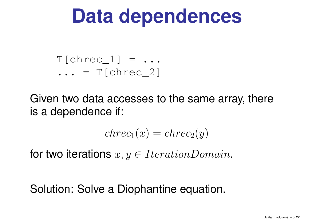# **Data dependences**

#### $T[chrec 1] = ...$ ... = T[chrec\_2]

Given two data accesses to the same array, there is <sup>a</sup> dependence if:

$$
chrec_1(x) = chrec_2(y)
$$

for two iterations  $x, y \in IterationDomain$ .

### Solution: Solve <sup>a</sup> Diophantine equation.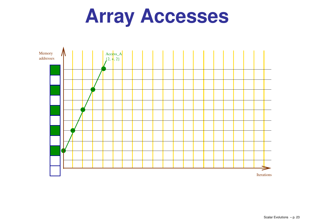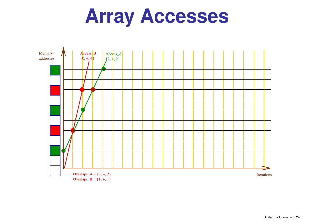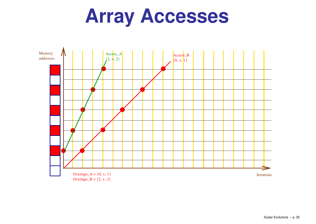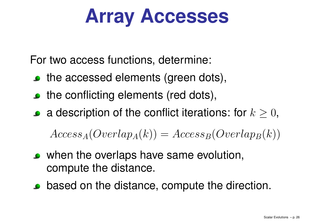For two access functions, determine:

- the accessed elements (green dots),
- the conflicting elements (red dots),
- a description of the conflict iterations: for  $k \geq 0$ ,

 $Access_A(Overlap_A(k)) = Access_B(Overlap_B(k))$ 

- when the overlaps have same evolution, compute the distance.
- based on the distance, compute the direction.